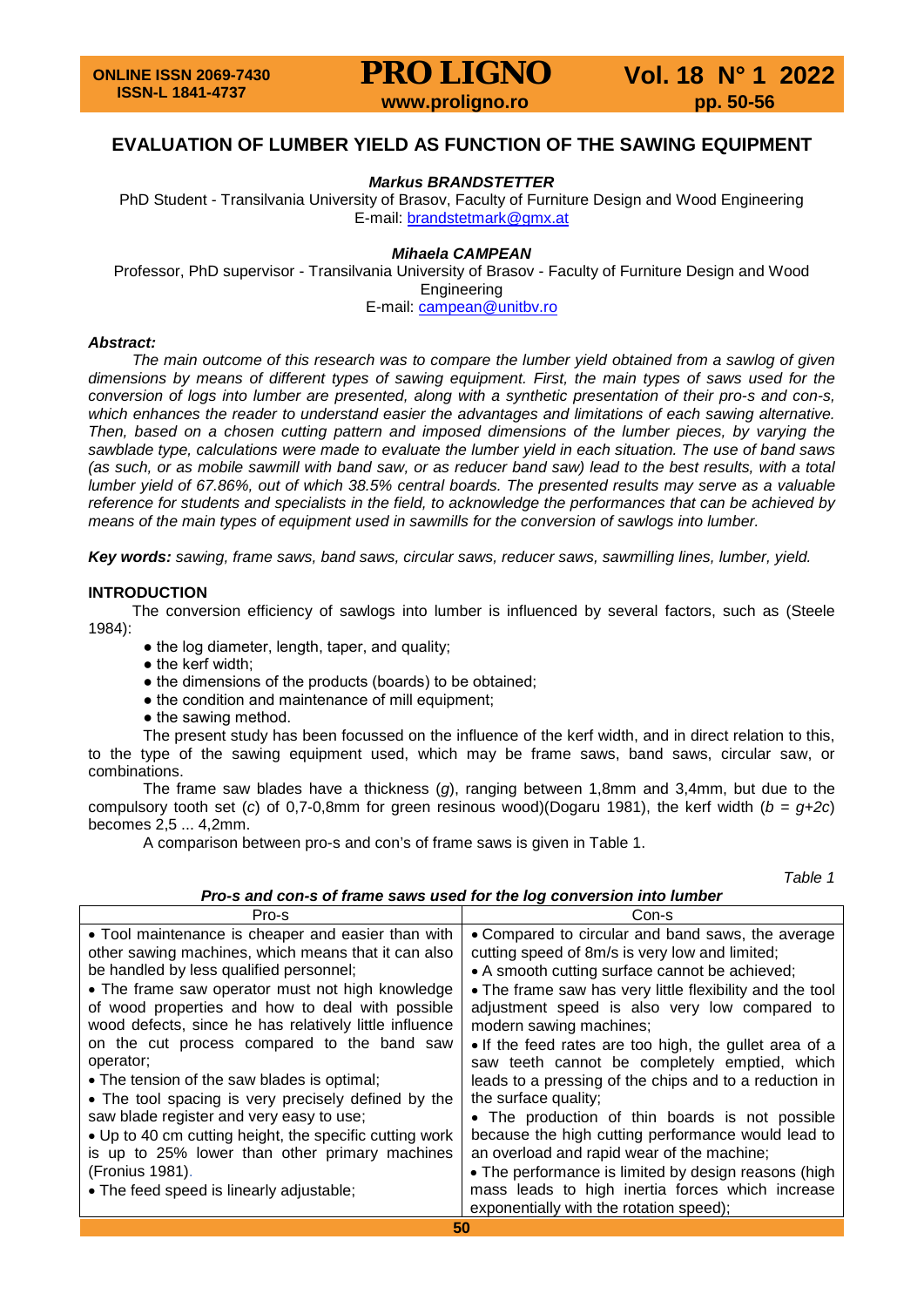## **EVALUATION OF LUMBER YIELD AS FUNCTION OF THE SAWING EQUIPMENT**

## *Markus BRANDSTETTER*

PhD Student - Transilvania University of Brasov, Faculty of Furniture Design and Wood Engineering E-mail: [brandstetmark@gmx.at](mailto:brandstetmark@gmx.at)

#### *Mihaela CAMPEAN*

Professor, PhD supervisor - Transilvania University of Brasov - Faculty of Furniture Design and Wood Engineering

E-mail: [campean@unitbv.ro](mailto:campean@unitbv.ro)

#### *Abstract:*

*The main outcome of this research was to compare the lumber yield obtained from a sawlog of given dimensions by means of different types of sawing equipment. First, the main types of saws used for the conversion of logs into lumber are presented, along with a synthetic presentation of their pro-s and con-s, which enhances the reader to understand easier the advantages and limitations of each sawing alternative. Then, based on a chosen cutting pattern and imposed dimensions of the lumber pieces, by varying the sawblade type, calculations were made to evaluate the lumber yield in each situation. The use of band saws (as such, or as mobile sawmill with band saw, or as reducer band saw) lead to the best results, with a total lumber yield of 67.86%, out of which 38.5% central boards. The presented results may serve as a valuable reference for students and specialists in the field, to acknowledge the performances that can be achieved by means of the main types of equipment used in sawmills for the conversion of sawlogs into lumber.*

*Key words: sawing, frame saws, band saws, circular saws, reducer saws, sawmilling lines, lumber, yield.*

#### **INTRODUCTION**

The conversion efficiency of sawlogs into lumber is influenced by several factors, such as (Steele 1984):

- the log diameter, length, taper, and quality;
- the kerf width;
- the dimensions of the products (boards) to be obtained;
- the condition and maintenance of mill equipment;
- the sawing method.

The present study has been focussed on the influence of the kerf width, and in direct relation to this, to the type of the sawing equipment used, which may be frame saws, band saws, circular saw, or combinations.

The frame saw blades have a thickness (*g*), ranging between 1,8mm and 3,4mm, but due to the compulsory tooth set (*c*) of 0,7-0,8mm for green resinous wood)(Dogaru 1981), the kerf width (*b = g+2c*) becomes 2,5 ... 4,2mm.

A comparison between pro-s and con's of frame saws is given in Table 1.

*Table 1*

| Pro-s and con-s of frame saws used for the log conversion into lumber |  |
|-----------------------------------------------------------------------|--|
|-----------------------------------------------------------------------|--|

| Pro-s                                                   | Con-s                                                    |
|---------------------------------------------------------|----------------------------------------------------------|
| • Tool maintenance is cheaper and easier than with      | • Compared to circular and band saws, the average        |
| other sawing machines, which means that it can also     | cutting speed of 8m/s is very low and limited;           |
| be handled by less qualified personnel;                 | • A smooth cutting surface cannot be achieved;           |
| • The frame saw operator must not high knowledge        | • The frame saw has very little flexibility and the tool |
| of wood properties and how to deal with possible        | adjustment speed is also very low compared to            |
| wood defects, since he has relatively little influence  | modern sawing machines;                                  |
| on the cut process compared to the band saw             | • If the feed rates are too high, the gullet area of a   |
| operator;                                               | saw teeth cannot be completely emptied, which            |
| • The tension of the saw blades is optimal;             | leads to a pressing of the chips and to a reduction in   |
| • The tool spacing is very precisely defined by the     | the surface quality;                                     |
| saw blade register and very easy to use;                | • The production of thin boards is not possible          |
| • Up to 40 cm cutting height, the specific cutting work | because the high cutting performance would lead to       |
| is up to 25% lower than other primary machines          | an overload and rapid wear of the machine;               |
| (Fronius 1981).                                         | • The performance is limited by design reasons (high     |
| • The feed speed is linearly adjustable;                | mass leads to high inertia forces which increase         |
|                                                         | exponentially with the rotation speed);                  |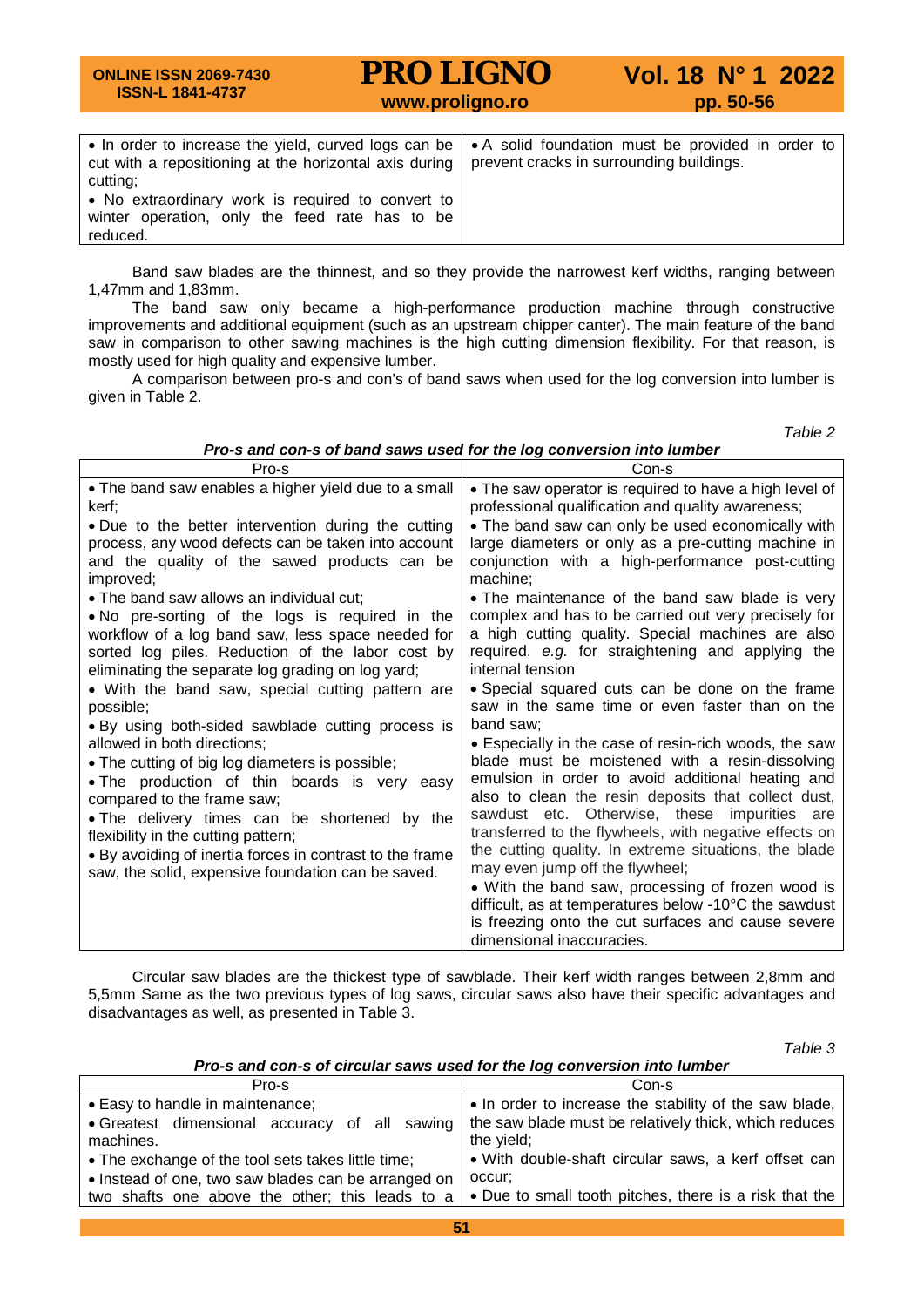#### **ONLINE ISSN 2069-7430 ISSN-L 1841-4737 PRO LIGNO** Vol. 18 N° 1 2022<br>www.proligno.ro pp. 50-56 • In order to increase the yield, curved logs can be cut with a repositioning at the horizontal axis during cutting; • A solid foundation must be provided in order to prevent cracks in surrounding buildings.

• No extraordinary work is required to convert to winter operation, only the feed rate has to be reduced.

Band saw blades are the thinnest, and so they provide the narrowest kerf widths, ranging between 1,47mm and 1,83mm.

The band saw only became a high-performance production machine through constructive improvements and additional equipment (such as an upstream chipper canter). The main feature of the band saw in comparison to other sawing machines is the high cutting dimension flexibility. For that reason, is mostly used for high quality and expensive lumber.

A comparison between pro-s and con's of band saws when used for the log conversion into lumber is given in Table 2.

*Table 2*

*Pro-s and con-s of band saws used for the log conversion into lumber*

|                                                                                                                                                                                                                                                                                                                                                                                                                                                                                                                                                                                                      | Con-s                                                                                                                                                                                                                                                                                                                                                                                                                                                                                                                                                                                                                                                                                                                                                                                                                   |
|------------------------------------------------------------------------------------------------------------------------------------------------------------------------------------------------------------------------------------------------------------------------------------------------------------------------------------------------------------------------------------------------------------------------------------------------------------------------------------------------------------------------------------------------------------------------------------------------------|-------------------------------------------------------------------------------------------------------------------------------------------------------------------------------------------------------------------------------------------------------------------------------------------------------------------------------------------------------------------------------------------------------------------------------------------------------------------------------------------------------------------------------------------------------------------------------------------------------------------------------------------------------------------------------------------------------------------------------------------------------------------------------------------------------------------------|
| Pro-s<br>• The band saw enables a higher yield due to a small<br>kerf:<br>• Due to the better intervention during the cutting<br>process, any wood defects can be taken into account<br>and the quality of the sawed products can be<br>improved;<br>• The band saw allows an individual cut;<br>. No pre-sorting of the logs is required in the<br>workflow of a log band saw, less space needed for                                                                                                                                                                                                | • The saw operator is required to have a high level of<br>professional qualification and quality awareness;<br>• The band saw can only be used economically with<br>large diameters or only as a pre-cutting machine in<br>conjunction with a high-performance post-cutting<br>machine;<br>• The maintenance of the band saw blade is very<br>complex and has to be carried out very precisely for<br>a high cutting quality. Special machines are also                                                                                                                                                                                                                                                                                                                                                                 |
| sorted log piles. Reduction of the labor cost by<br>eliminating the separate log grading on log yard;<br>• With the band saw, special cutting pattern are<br>possible;<br>• By using both-sided sawblade cutting process is<br>allowed in both directions;<br>• The cutting of big log diameters is possible;<br>. The production of thin boards is very easy<br>compared to the frame saw;<br>• The delivery times can be shortened by the<br>flexibility in the cutting pattern;<br>• By avoiding of inertia forces in contrast to the frame<br>saw, the solid, expensive foundation can be saved. | required, e.g. for straightening and applying the<br>internal tension<br>• Special squared cuts can be done on the frame<br>saw in the same time or even faster than on the<br>band saw;<br>• Especially in the case of resin-rich woods, the saw<br>blade must be moistened with a resin-dissolving<br>emulsion in order to avoid additional heating and<br>also to clean the resin deposits that collect dust,<br>sawdust etc. Otherwise, these impurities are<br>transferred to the flywheels, with negative effects on<br>the cutting quality. In extreme situations, the blade<br>may even jump off the flywheel;<br>• With the band saw, processing of frozen wood is<br>difficult, as at temperatures below -10°C the sawdust<br>is freezing onto the cut surfaces and cause severe<br>dimensional inaccuracies. |

Circular saw blades are the thickest type of sawblade. Their kerf width ranges between 2,8mm and 5,5mm Same as the two previous types of log saws, circular saws also have their specific advantages and disadvantages as well, as presented in Table 3.

*Table 3*

### *Pro-s and con-s of circular saws used for the log conversion into lumber*

| Pro-s                                                                                             | Con-s                                                                                                                         |
|---------------------------------------------------------------------------------------------------|-------------------------------------------------------------------------------------------------------------------------------|
| • Easy to handle in maintenance;<br>• Greatest dimensional accuracy<br>of all sawing<br>machines. | • In order to increase the stability of the saw blade,<br>the saw blade must be relatively thick, which reduces<br>the yield; |
| • The exchange of the tool sets takes little time;                                                | • With double-shaft circular saws, a kerf offset can                                                                          |
| • Instead of one, two saw blades can be arranged on                                               | occur:                                                                                                                        |
| two shafts one above the other; this leads to a                                                   | • Due to small tooth pitches, there is a risk that the                                                                        |
|                                                                                                   |                                                                                                                               |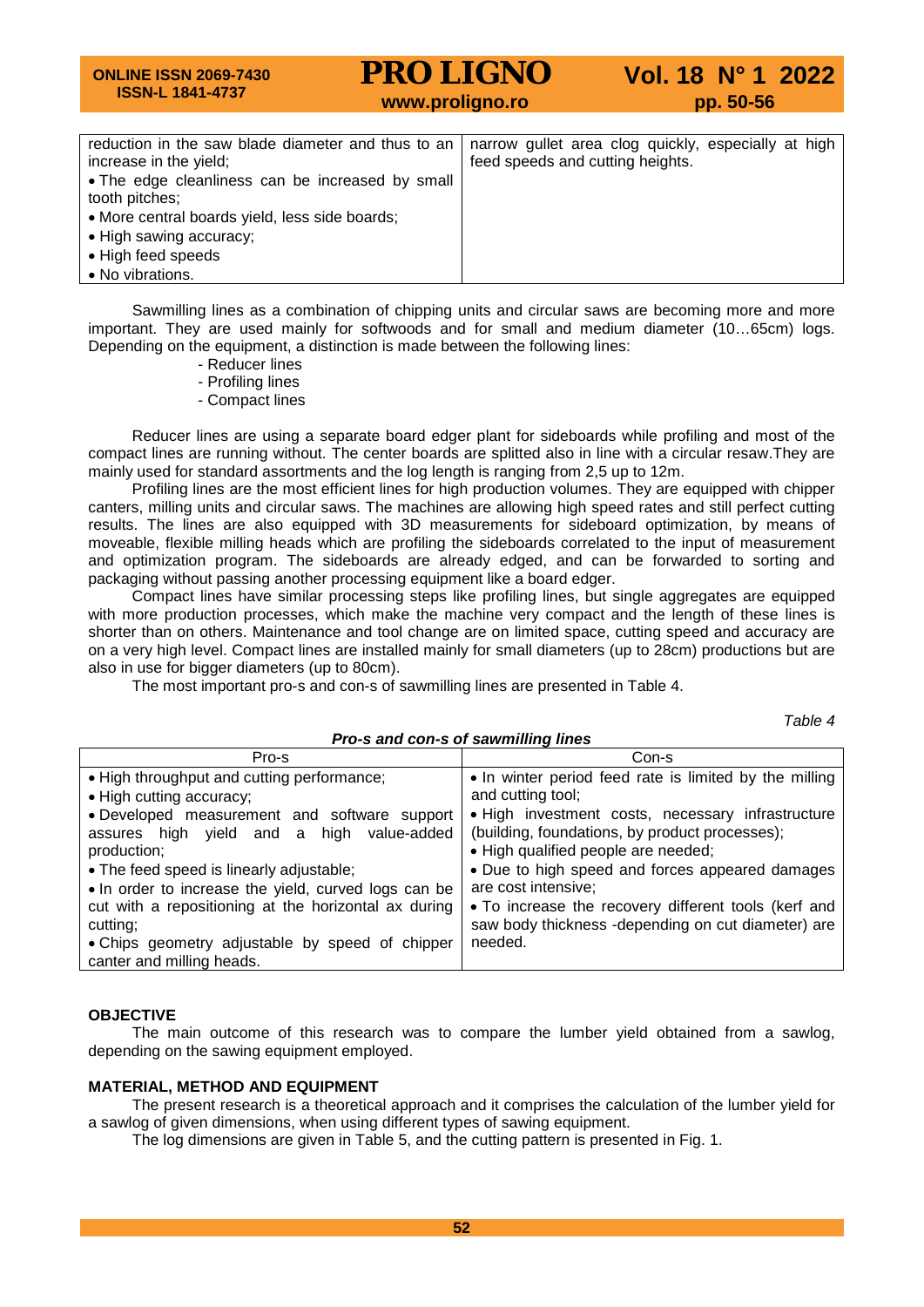#### **ONLINE ISSN 2069-7430 ISSN-L 1841-4737 PRO LIGNO** Vol. 18 N° 1 2022<br>www.proligno.ro pp. 50-56 reduction in the saw blade diameter and thus to an increase in the yield; • The edge cleanliness can be increased by small tooth pitches; • More central boards yield, less side boards; • High sawing accuracy; • High feed speeds • No vibrations. narrow gullet area clog quickly, especially at high feed speeds and cutting heights.

Sawmilling lines as a combination of chipping units and circular saws are becoming more and more important. They are used mainly for softwoods and for small and medium diameter (10…65cm) logs. Depending on the equipment, a distinction is made between the following lines:

- Reducer lines
- Profiling lines
- Compact lines

Reducer lines are using a separate board edger plant for sideboards while profiling and most of the compact lines are running without. The center boards are splitted also in line with a circular resaw.They are mainly used for standard assortments and the log length is ranging from 2,5 up to 12m.

Profiling lines are the most efficient lines for high production volumes. They are equipped with chipper canters, milling units and circular saws. The machines are allowing high speed rates and still perfect cutting results. The lines are also equipped with 3D measurements for sideboard optimization, by means of moveable, flexible milling heads which are profiling the sideboards correlated to the input of measurement and optimization program. The sideboards are already edged, and can be forwarded to sorting and packaging without passing another processing equipment like a board edger.

Compact lines have similar processing steps like profiling lines, but single aggregates are equipped with more production processes, which make the machine very compact and the length of these lines is shorter than on others. Maintenance and tool change are on limited space, cutting speed and accuracy are on a very high level. Compact lines are installed mainly for small diameters (up to 28cm) productions but are also in use for bigger diameters (up to 80cm).

The most important pro-s and con-s of sawmilling lines are presented in Table 4.

*Table 4*

| Pro-s and con-s of sawmilling lines                                                                                                                                                                                                                                                                                                                                                                                                        |                                                                                                                                                                                                                                                                                                                                                                                                                              |  |  |  |  |
|--------------------------------------------------------------------------------------------------------------------------------------------------------------------------------------------------------------------------------------------------------------------------------------------------------------------------------------------------------------------------------------------------------------------------------------------|------------------------------------------------------------------------------------------------------------------------------------------------------------------------------------------------------------------------------------------------------------------------------------------------------------------------------------------------------------------------------------------------------------------------------|--|--|--|--|
| Pro-s                                                                                                                                                                                                                                                                                                                                                                                                                                      | Con-s                                                                                                                                                                                                                                                                                                                                                                                                                        |  |  |  |  |
| . High throughput and cutting performance;<br>• High cutting accuracy;<br>• Developed measurement and software support<br>assures high yield and a high value-added<br>production;<br>• The feed speed is linearly adjustable;<br>. In order to increase the yield, curved logs can be<br>cut with a repositioning at the horizontal ax during<br>cutting;<br>• Chips geometry adjustable by speed of chipper<br>canter and milling heads. | • In winter period feed rate is limited by the milling<br>and cutting tool;<br>. High investment costs, necessary infrastructure<br>(building, foundations, by product processes);<br>• High qualified people are needed;<br>• Due to high speed and forces appeared damages<br>are cost intensive;<br>. To increase the recovery different tools (kerf and<br>saw body thickness -depending on cut diameter) are<br>needed. |  |  |  |  |

### **OBJECTIVE**

The main outcome of this research was to compare the lumber yield obtained from a sawlog, depending on the sawing equipment employed.

### **MATERIAL, METHOD AND EQUIPMENT**

The present research is a theoretical approach and it comprises the calculation of the lumber yield for a sawlog of given dimensions, when using different types of sawing equipment.

The log dimensions are given in Table 5, and the cutting pattern is presented in Fig. 1.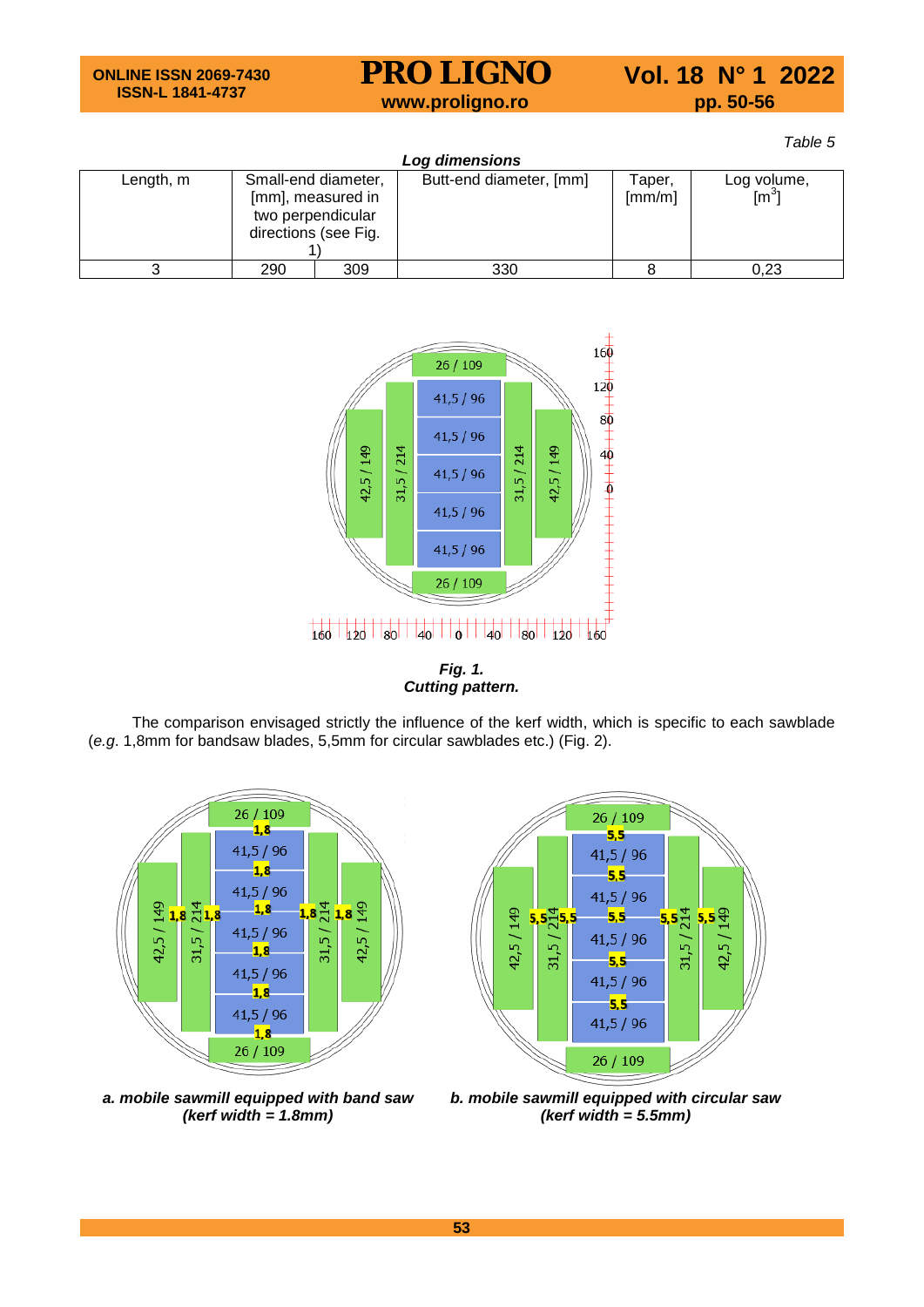*Table 5*

| Log dimensions |                                                                  |                   |                         |                                |                                |  |  |
|----------------|------------------------------------------------------------------|-------------------|-------------------------|--------------------------------|--------------------------------|--|--|
| Length, m      | Small-end diameter,<br>two perpendicular<br>directions (see Fig. | [mm], measured in | Butt-end diameter, [mm] | Taper,<br>$\lceil mm/m \rceil$ | Log volume,<br>$\mathsf{[m}^3$ |  |  |
|                | 290                                                              | 309               | 330                     |                                | 0.23                           |  |  |



*Fig. 1. Cutting pattern.*

The comparison envisaged strictly the influence of the kerf width, which is specific to each sawblade (*e.g*. 1,8mm for bandsaw blades, 5,5mm for circular sawblades etc.) (Fig. 2).





*a. mobile sawmill equipped with band saw (kerf width = 1.8mm)*

*b. mobile sawmill equipped with circular saw (kerf width = 5.5mm)*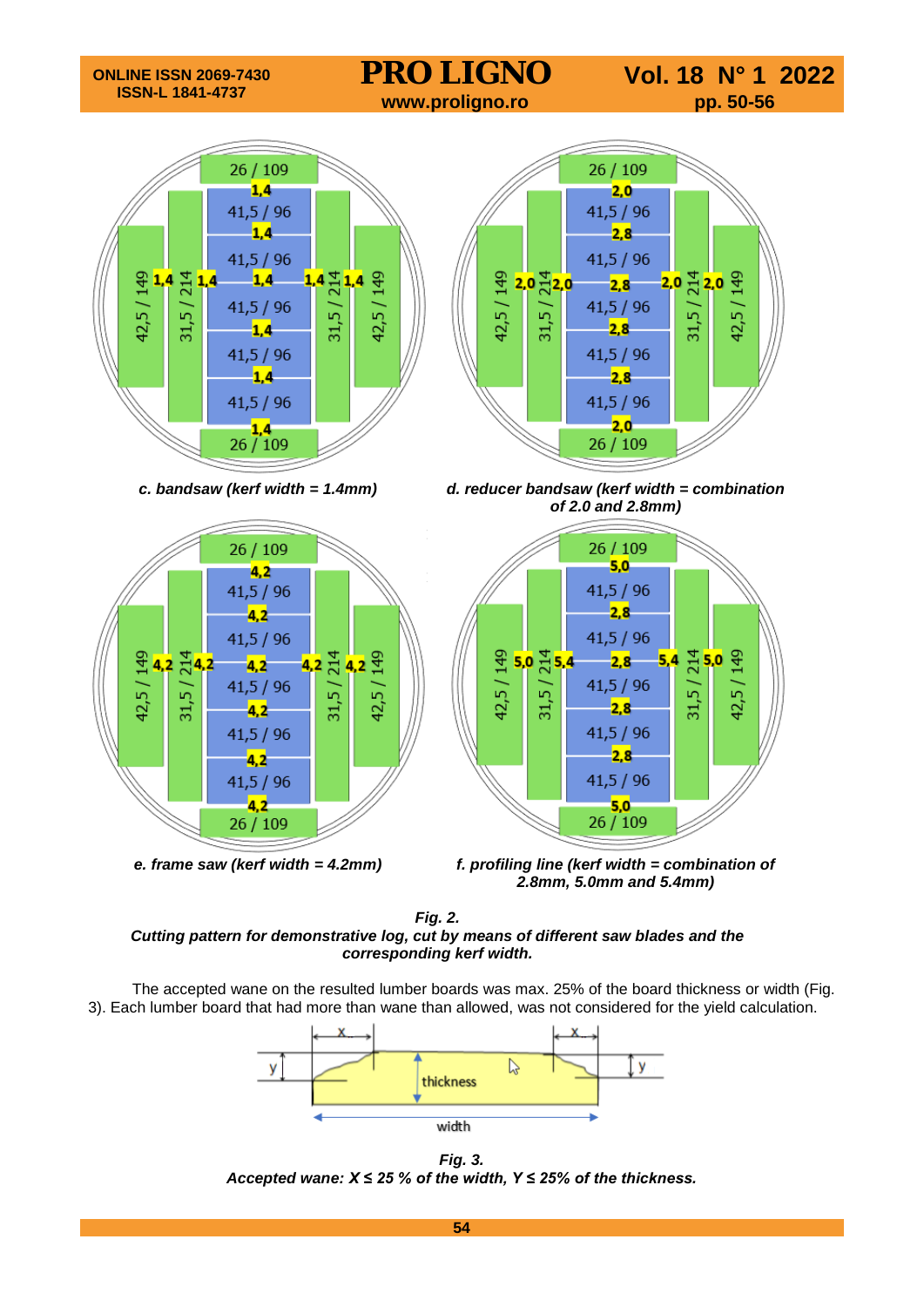









*c. bandsaw (kerf width = 1.4mm) d. reducer bandsaw (kerf width = combination of 2.0 and 2.8mm)*



*e. frame saw (kerf width = 4.2mm) f. profiling line (kerf width = combination of 2.8mm, 5.0mm and 5.4mm)*

*Fig. 2. Cutting pattern for demonstrative log, cut by means of different saw blades and the corresponding kerf width.*

The accepted wane on the resulted lumber boards was max. 25% of the board thickness or width (Fig. 3). Each lumber board that had more than wane than allowed, was not considered for the yield calculation.



*Fig. 3. Accepted wane: X ≤ 25 % of the width, Y ≤ 25% of the thickness.*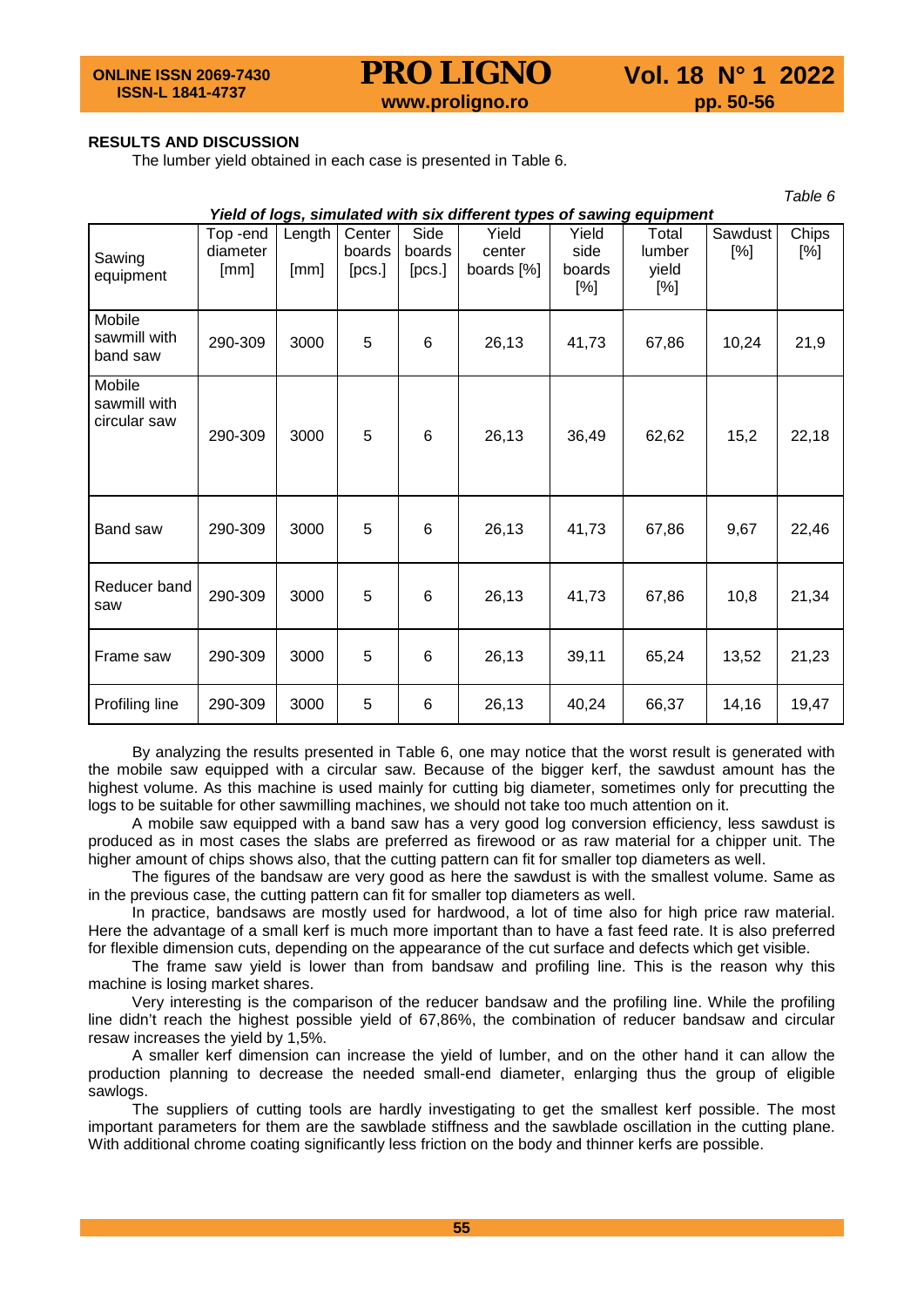*Table 6*

## **RESULTS AND DISCUSSION**

The lumber yield obtained in each case is presented in Table 6.

| , uwiu u<br>Yield of logs, simulated with six different types of sawing equipment |                             |                |                            |                          |                               |                                |                                 |                   |                 |
|-----------------------------------------------------------------------------------|-----------------------------|----------------|----------------------------|--------------------------|-------------------------------|--------------------------------|---------------------------------|-------------------|-----------------|
| Sawing<br>equipment                                                               | Top-end<br>diameter<br>[mm] | Length<br>[mm] | Center<br>boards<br>[PCS.] | Side<br>boards<br>[PCS.] | Yield<br>center<br>boards [%] | Yield<br>side<br>boards<br>[%] | Total<br>lumber<br>yield<br>[%] | Sawdust<br>$[\%]$ | Chips<br>$[\%]$ |
| Mobile<br>sawmill with<br>band saw                                                | 290-309                     | 3000           | 5                          | 6                        | 26,13                         | 41,73                          | 67,86                           | 10,24             | 21,9            |
| Mobile<br>sawmill with<br>circular saw                                            | 290-309                     | 3000           | 5                          | 6                        | 26,13                         | 36,49                          | 62,62                           | 15,2              | 22,18           |
| Band saw                                                                          | 290-309                     | 3000           | 5                          | 6                        | 26,13                         | 41,73                          | 67,86                           | 9,67              | 22,46           |
| Reducer band<br>saw                                                               | 290-309                     | 3000           | 5                          | 6                        | 26,13                         | 41,73                          | 67,86                           | 10,8              | 21,34           |
| Frame saw                                                                         | 290-309                     | 3000           | 5                          | $6\phantom{1}6$          | 26,13                         | 39,11                          | 65,24                           | 13,52             | 21,23           |
| Profiling line                                                                    | 290-309                     | 3000           | 5                          | 6                        | 26,13                         | 40,24                          | 66,37                           | 14,16             | 19,47           |

By analyzing the results presented in Table 6, one may notice that the worst result is generated with the mobile saw equipped with a circular saw. Because of the bigger kerf, the sawdust amount has the highest volume. As this machine is used mainly for cutting big diameter, sometimes only for precutting the logs to be suitable for other sawmilling machines, we should not take too much attention on it.

A mobile saw equipped with a band saw has a very good log conversion efficiency, less sawdust is produced as in most cases the slabs are preferred as firewood or as raw material for a chipper unit. The higher amount of chips shows also, that the cutting pattern can fit for smaller top diameters as well.

The figures of the bandsaw are very good as here the sawdust is with the smallest volume. Same as in the previous case, the cutting pattern can fit for smaller top diameters as well.

In practice, bandsaws are mostly used for hardwood, a lot of time also for high price raw material. Here the advantage of a small kerf is much more important than to have a fast feed rate. It is also preferred for flexible dimension cuts, depending on the appearance of the cut surface and defects which get visible.

The frame saw yield is lower than from bandsaw and profiling line. This is the reason why this machine is losing market shares.

Very interesting is the comparison of the reducer bandsaw and the profiling line. While the profiling line didn't reach the highest possible yield of 67,86%, the combination of reducer bandsaw and circular resaw increases the yield by 1,5%.

A smaller kerf dimension can increase the yield of lumber, and on the other hand it can allow the production planning to decrease the needed small-end diameter, enlarging thus the group of eligible sawlogs.

The suppliers of cutting tools are hardly investigating to get the smallest kerf possible. The most important parameters for them are the sawblade stiffness and the sawblade oscillation in the cutting plane. With additional chrome coating significantly less friction on the body and thinner kerfs are possible.